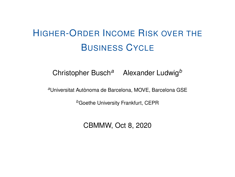# <span id="page-0-0"></span>HIGHER-ORDER INCOME RISK OVER THE BUSINESS CYCLE

Christopher Busch*<sup>a</sup>* Alexander Ludwig*<sup>b</sup>*

*<sup>a</sup>*Universitat Autònoma de Barcelona, MOVE, Barcelona GSE

*<sup>b</sup>*Goethe University Frankfurt, CEPR

CBMMW, Oct 8, 2020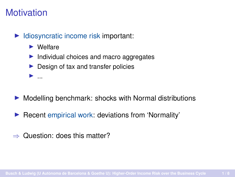## **Motivation**

 $\blacktriangleright$  Idiosyncratic income risk important:

 $\blacktriangleright$  Welfare

I ...

- $\blacktriangleright$  Individual choices and macro aggregates
- $\blacktriangleright$  Design of tax and transfer policies

- $\triangleright$  Modelling benchmark: shocks with Normal distributions
- $\blacktriangleright$  Recent empirical work: deviations from 'Normality'
- ⇒ Question: does this matter?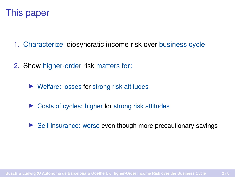

- 1. Characterize idiosyncratic income risk over business cycle
- 2. Show higher-order risk matters for:
	- $\blacktriangleright$  Welfare: losses for strong risk attitudes
	- $\triangleright$  Costs of cycles: higher for strong risk attitudes
	- $\triangleright$  Self-insurance: worse even though more precautionary savings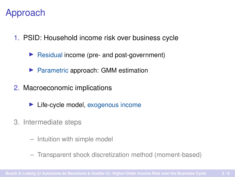## Approach

- 1. PSID: Household income risk over business cycle
	- $\triangleright$  Residual income (pre- and post-government)
	- $\blacktriangleright$  Parametric approach: GMM estimation
- 2. Macroeconomic implications
	- $\blacktriangleright$  Life-cycle model, exogenous income
- 3. Intermediate steps
	- Intuition with simple model
	- Transparent shock discretization method (moment-based)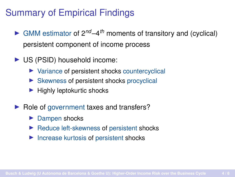### Summary of Empirical Findings

- $\triangleright$  GMM estimator of  $2^{nd} 4^{th}$  moments of transitory and (cyclical) persistent component of income process
- $\triangleright$  US (PSID) household income:
	- $\triangleright$  Variance of persistent shocks countercyclical
	- $\triangleright$  Skewness of persistent shocks procyclical
	- $\blacktriangleright$  Highly leptokurtic shocks
- $\blacktriangleright$  Role of government taxes and transfers?
	- $\blacktriangleright$  Dampen shocks
	- $\blacktriangleright$  Reduce left-skewness of persistent shocks
	- $\blacktriangleright$  Increase kurtosis of persistent shocks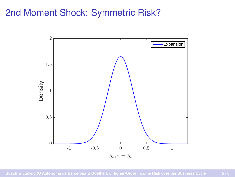#### 2nd Moment Shock: Symmetric Risk?

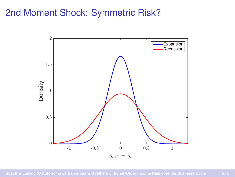#### 2nd Moment Shock: Symmetric Risk?

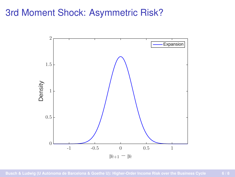# 3rd Moment Shock: Asymmetric Risk?

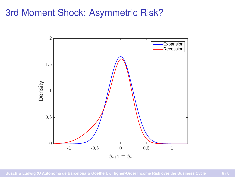# 3rd Moment Shock: Asymmetric Risk?

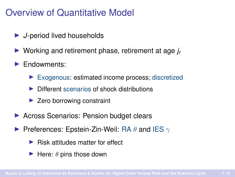#### Overview of Quantitative Model

- ▶ *J*-period lived households
- ▶ Working and retirement phase, retirement at age *j<sub>r</sub>*
- $\blacktriangleright$  Endowments:
	- $\blacktriangleright$  Exogenous: estimated income process; discretized
	- $\triangleright$  Different scenarios of shock distributions
	- $\blacktriangleright$  Zero borrowing constraint
- ▶ Across Scenarios: Pension budget clears
- Preferences: Epstein-Zin-Weil: RA  $\theta$  and IES  $\gamma$ 
	- $\blacktriangleright$  Risk attitudes matter for effect
	- $\blacktriangleright$  Here:  $\theta$  pins those down